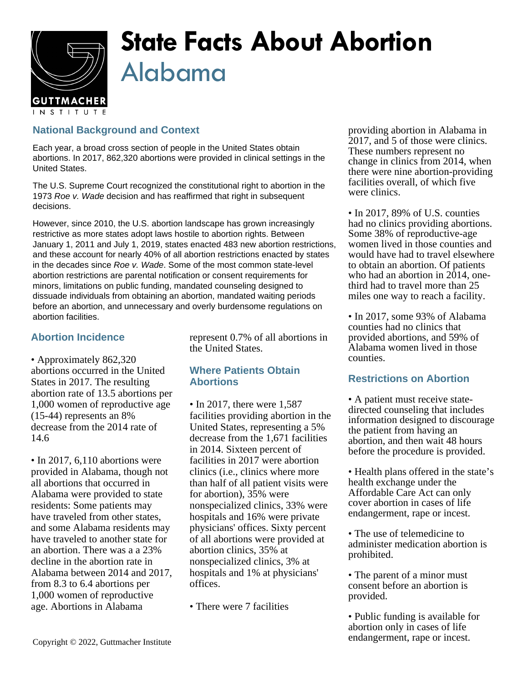

# **State Facts About Abortion** Alabama

## **National Background and Context**

Each year, a broad cross section of people in the United States obtain abortions. In 2017, 862,320 abortions were provided in clinical settings in the United States.

The U.S. Supreme Court recognized the constitutional right to abortion in the 1973 Roe v. Wade decision and has reaffirmed that right in subsequent decisions.

However, since 2010, the U.S. abortion landscape has grown increasingly restrictive as more states adopt laws hostile to abortion rights. Between January 1, 2011 and July 1, 2019, states enacted 483 new abortion restrictions, and these account for nearly 40% of all abortion restrictions enacted by states in the decades since Roe v. Wade. Some of the most common state-level abortion restrictions are parental notification or consent requirements for minors, limitations on public funding, mandated counseling designed to dissuade individuals from obtaining an abortion, mandated waiting periods before an abortion, and unnecessary and overly burdensome regulations on abortion facilities.

## **Abortion Incidence**

• Approximately 862,320 abortions occurred in the United States in 2017. The resulting abortion rate of 13.5 abortions per 1,000 women of reproductive age (15-44) represents an 8% decrease from the 2014 rate of 14.6

• In 2017, 6,110 abortions were provided in Alabama, though not all abortions that occurred in Alabama were provided to state residents: Some patients may have traveled from other states, and some Alabama residents may have traveled to another state for an abortion. There was a a 23% decline in the abortion rate in Alabama between 2014 and 2017, from 8.3 to 6.4 abortions per 1,000 women of reproductive age. Abortions in Alabama

represent 0.7% of all abortions in the United States.

### **Where Patients Obtain Abortions**

- In 2017, there were 1,587 facilities providing abortion in the United States, representing a 5% decrease from the 1,671 facilities in 2014. Sixteen percent of facilities in 2017 were abortion clinics (i.e., clinics where more than half of all patient visits were for abortion), 35% were nonspecialized clinics, 33% were hospitals and 16% were private physicians' offices. Sixty percent of all abortions were provided at abortion clinics, 35% at nonspecialized clinics, 3% at hospitals and 1% at physicians' offices.
- There were 7 facilities

providing abortion in Alabama in 2017, and 5 of those were clinics. These numbers represent no change in clinics from 2014, when there were nine abortion-providing facilities overall, of which five were clinics.

• In 2017, 89% of U.S. counties had no clinics providing abortions. Some 38% of reproductive-age women lived in those counties and would have had to travel elsewhere to obtain an abortion. Of patients who had an abortion in 2014, onethird had to travel more than 25 miles one way to reach a facility.

• In 2017, some 93% of Alabama counties had no clinics that provided abortions, and 59% of Alabama women lived in those counties.

### **Restrictions on Abortion**

- A patient must receive statedirected counseling that includes information designed to discourage the patient from having an abortion, and then wait 48 hours before the procedure is provided.
- Health plans offered in the state's health exchange under the Affordable Care Act can only cover abortion in cases of life endangerment, rape or incest.
- The use of telemedicine to administer medication abortion is prohibited.
- The parent of a minor must consent before an abortion is provided.
- Public funding is available for abortion only in cases of life endangerment, rape or incest.